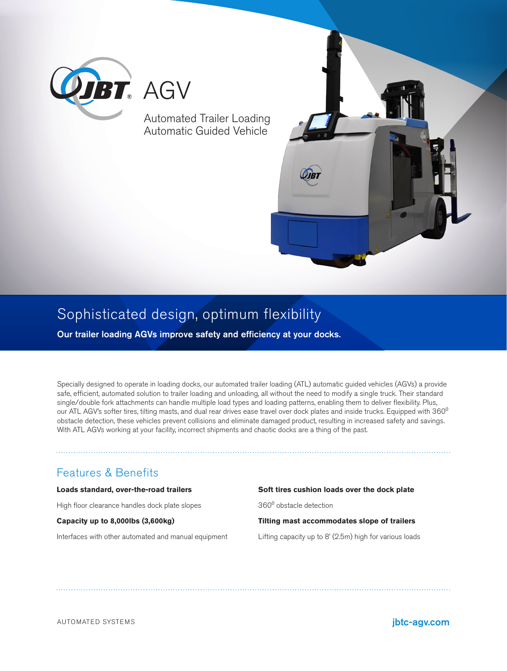

#### Automated Trailer Loading Automatic Guided Vehicle



# Sophisticated design, optimum flexibility

Our trailer loading AGVs improve safety and efficiency at your docks.

Specially designed to operate in loading docks, our automated trailer loading (ATL) automatic guided vehicles (AGVs) a provide safe, efficient, automated solution to trailer loading and unloading, all without the need to modify a single truck. Their standard single/double fork attachments can handle multiple load types and loading patterns, enabling them to deliver flexibility. Plus, our ATL AGV's softer tires, tilting masts, and dual rear drives ease travel over dock plates and inside trucks. Equipped with 360<sup>o</sup> obstacle detection, these vehicles prevent collisions and eliminate damaged product, resulting in increased safety and savings. With ATL AGVs working at your facility, incorrect shipments and chaotic docks are a thing of the past.

### Features & Benefits

**Loads standard, over-the-road trailers** High floor clearance handles dock plate slopes **Capacity up to 8,000lbs (3,600kg)**  Interfaces with other automated and manual equipment **Soft tires cushion loads over the dock plate**  360⁰ obstacle detection **Tilting mast accommodates slope of trailers** Lifting capacity up to 8' (2.5m) high for various loads

AUTOMATED SYSTEMS **in the system of the system of the system of the system of the system of the system of the system**